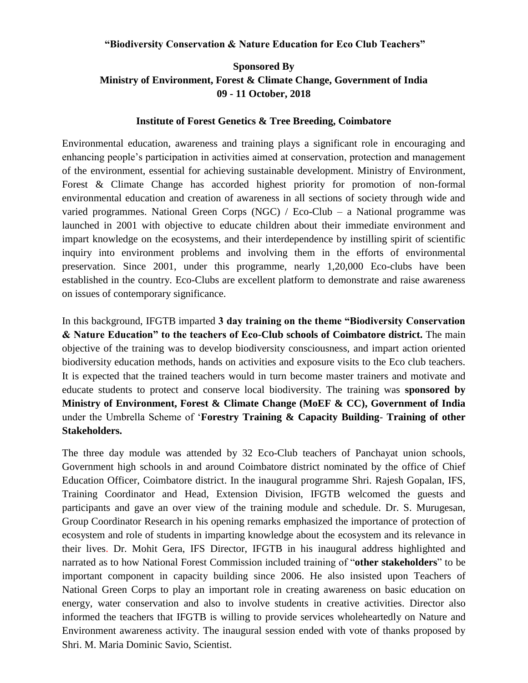## **"Biodiversity Conservation & Nature Education for Eco Club Teachers"**

## **Sponsored By Ministry of Environment, Forest & Climate Change, Government of India 09 - 11 October, 2018**

## **Institute of Forest Genetics & Tree Breeding, Coimbatore**

Environmental education, awareness and training plays a significant role in encouraging and enhancing people"s participation in activities aimed at conservation, protection and management of the environment, essential for achieving sustainable development. Ministry of Environment, Forest & Climate Change has accorded highest priority for promotion of non-formal environmental education and creation of awareness in all sections of society through wide and varied programmes. National Green Corps (NGC) / Eco-Club – a National programme was launched in 2001 with objective to educate children about their immediate environment and impart knowledge on the ecosystems, and their interdependence by instilling spirit of scientific inquiry into environment problems and involving them in the efforts of environmental preservation. Since 2001, under this programme, nearly 1,20,000 Eco-clubs have been established in the country. Eco-Clubs are excellent platform to demonstrate and raise awareness on issues of contemporary significance.

In this background, IFGTB imparted **3 day training on the theme "Biodiversity Conservation & Nature Education" to the teachers of Eco-Club schools of Coimbatore district.** The main objective of the training was to develop biodiversity consciousness, and impart action oriented biodiversity education methods, hands on activities and exposure visits to the Eco club teachers. It is expected that the trained teachers would in turn become master trainers and motivate and educate students to protect and conserve local biodiversity. The training was **sponsored by Ministry of Environment, Forest & Climate Change (MoEF & CC), Government of India** under the Umbrella Scheme of "**Forestry Training & Capacity Building**- **Training of other Stakeholders.**

The three day module was attended by 32 Eco-Club teachers of Panchayat union schools, Government high schools in and around Coimbatore district nominated by the office of Chief Education Officer, Coimbatore district. In the inaugural programme Shri. Rajesh Gopalan, IFS, Training Coordinator and Head, Extension Division, IFGTB welcomed the guests and participants and gave an over view of the training module and schedule. Dr. S. Murugesan, Group Coordinator Research in his opening remarks emphasized the importance of protection of ecosystem and role of students in imparting knowledge about the ecosystem and its relevance in their lives. Dr. Mohit Gera, IFS Director, IFGTB in his inaugural address highlighted and narrated as to how National Forest Commission included training of "**other stakeholders**" to be important component in capacity building since 2006. He also insisted upon Teachers of National Green Corps to play an important role in creating awareness on basic education on energy, water conservation and also to involve students in creative activities. Director also informed the teachers that IFGTB is willing to provide services wholeheartedly on Nature and Environment awareness activity. The inaugural session ended with vote of thanks proposed by Shri. M. Maria Dominic Savio, Scientist.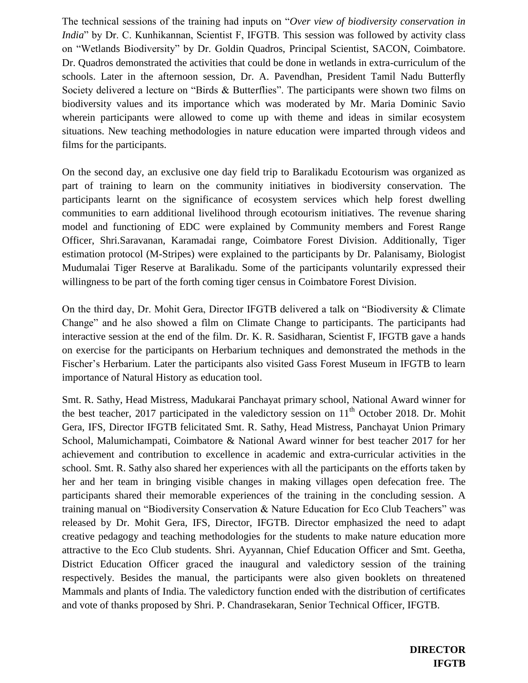The technical sessions of the training had inputs on "*Over view of biodiversity conservation in India*" by Dr. C. Kunhikannan, Scientist F, IFGTB. This session was followed by activity class on "Wetlands Biodiversity" by Dr. Goldin Quadros, Principal Scientist, SACON, Coimbatore. Dr. Quadros demonstrated the activities that could be done in wetlands in extra-curriculum of the schools. Later in the afternoon session, Dr. A. Pavendhan, President Tamil Nadu Butterfly Society delivered a lecture on "Birds & Butterflies". The participants were shown two films on biodiversity values and its importance which was moderated by Mr. Maria Dominic Savio wherein participants were allowed to come up with theme and ideas in similar ecosystem situations. New teaching methodologies in nature education were imparted through videos and films for the participants.

On the second day, an exclusive one day field trip to Baralikadu Ecotourism was organized as part of training to learn on the community initiatives in biodiversity conservation. The participants learnt on the significance of ecosystem services which help forest dwelling communities to earn additional livelihood through ecotourism initiatives. The revenue sharing model and functioning of EDC were explained by Community members and Forest Range Officer, Shri.Saravanan, Karamadai range, Coimbatore Forest Division. Additionally, Tiger estimation protocol (M-Stripes) were explained to the participants by Dr. Palanisamy, Biologist Mudumalai Tiger Reserve at Baralikadu. Some of the participants voluntarily expressed their willingness to be part of the forth coming tiger census in Coimbatore Forest Division.

On the third day, Dr. Mohit Gera, Director IFGTB delivered a talk on "Biodiversity & Climate Change" and he also showed a film on Climate Change to participants. The participants had interactive session at the end of the film. Dr. K. R. Sasidharan, Scientist F, IFGTB gave a hands on exercise for the participants on Herbarium techniques and demonstrated the methods in the Fischer"s Herbarium. Later the participants also visited Gass Forest Museum in IFGTB to learn importance of Natural History as education tool.

Smt. R. Sathy, Head Mistress, Madukarai Panchayat primary school, National Award winner for the best teacher, 2017 participated in the valedictory session on  $11<sup>th</sup>$  October 2018. Dr. Mohit Gera, IFS, Director IFGTB felicitated Smt. R. Sathy, Head Mistress, Panchayat Union Primary School, Malumichampati, Coimbatore & National Award winner for best teacher 2017 for her achievement and contribution to excellence in academic and extra-curricular activities in the school. Smt. R. Sathy also shared her experiences with all the participants on the efforts taken by her and her team in bringing visible changes in making villages open defecation free. The participants shared their memorable experiences of the training in the concluding session. A training manual on "Biodiversity Conservation & Nature Education for Eco Club Teachers" was released by Dr. Mohit Gera, IFS, Director, IFGTB. Director emphasized the need to adapt creative pedagogy and teaching methodologies for the students to make nature education more attractive to the Eco Club students. Shri. Ayyannan, Chief Education Officer and Smt. Geetha, District Education Officer graced the inaugural and valedictory session of the training respectively. Besides the manual, the participants were also given booklets on threatened Mammals and plants of India. The valedictory function ended with the distribution of certificates and vote of thanks proposed by Shri. P. Chandrasekaran, Senior Technical Officer, IFGTB.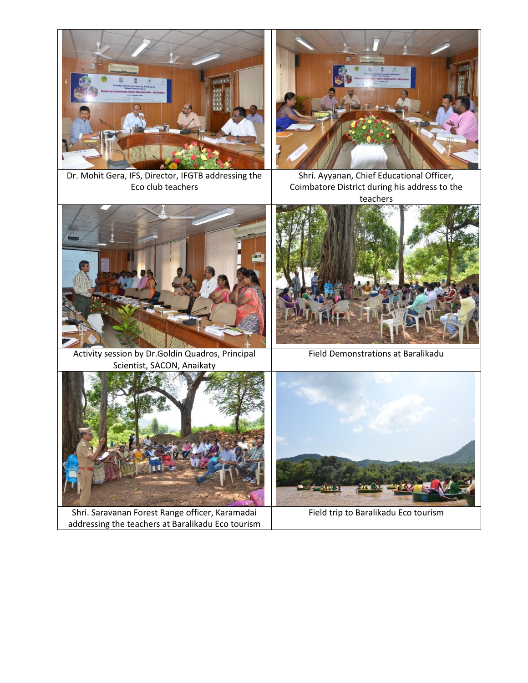



Dr. Mohit Gera, IFS, Director, IFGTB addressing the Eco club teachers

Shri. Ayyanan, Chief Educational Officer, Coimbatore District during his address to the teachers



Activity session by Dr.Goldin Quadros, Principal Scientist, SACON, Anaikaty



Field Demonstrations at Baralikadu



Shri. Saravanan Forest Range officer, Karamadai addressing the teachers at Baralikadu Eco tourism



Field trip to Baralikadu Eco tourism